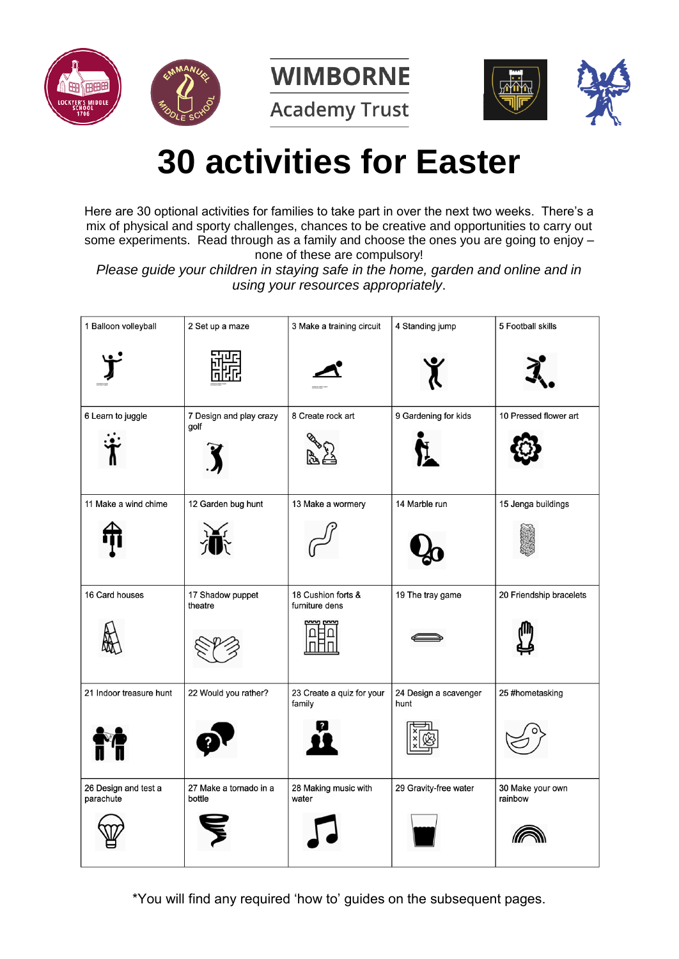





**Academy Trust** 



# **30 activities for Easter**

Here are 30 optional activities for families to take part in over the next two weeks. There's a mix of physical and sporty challenges, chances to be creative and opportunities to carry out some experiments. Read through as a family and choose the ones you are going to enjoy – none of these are compulsory!

*Please guide your children in staying safe in the home, garden and online and in using your resources appropriately*.

| 1 Balloon volleyball              | 2 Set up a maze                  | 3 Make a training circuit                     | 4 Standing jump               | 5 Football skills           |
|-----------------------------------|----------------------------------|-----------------------------------------------|-------------------------------|-----------------------------|
|                                   |                                  |                                               |                               |                             |
| 6 Learn to juggle                 | 7 Design and play crazy<br>golf  | 8 Create rock art                             | 9 Gardening for kids          | 10 Pressed flower art       |
| 11 Make a wind chime              | 12 Garden bug hunt               | 13 Make a wormery                             | 14 Marble run                 | 15 Jenga buildings          |
| 16 Card houses                    | 17 Shadow puppet<br>theatre      | 18 Cushion forts &<br>furniture dens<br>ww.pw | 19 The tray game              | 20 Friendship bracelets     |
| 21 Indoor treasure hunt           | 22 Would you rather?             | 23 Create a quiz for your<br>family           | 24 Design a scavenger<br>hunt | 25 #hometasking             |
| 26 Design and test a<br>parachute | 27 Make a tornado in a<br>bottle | 28 Making music with<br>water                 | 29 Gravity-free water         | 30 Make your own<br>rainbow |

\*You will find any required 'how to' guides on the subsequent pages.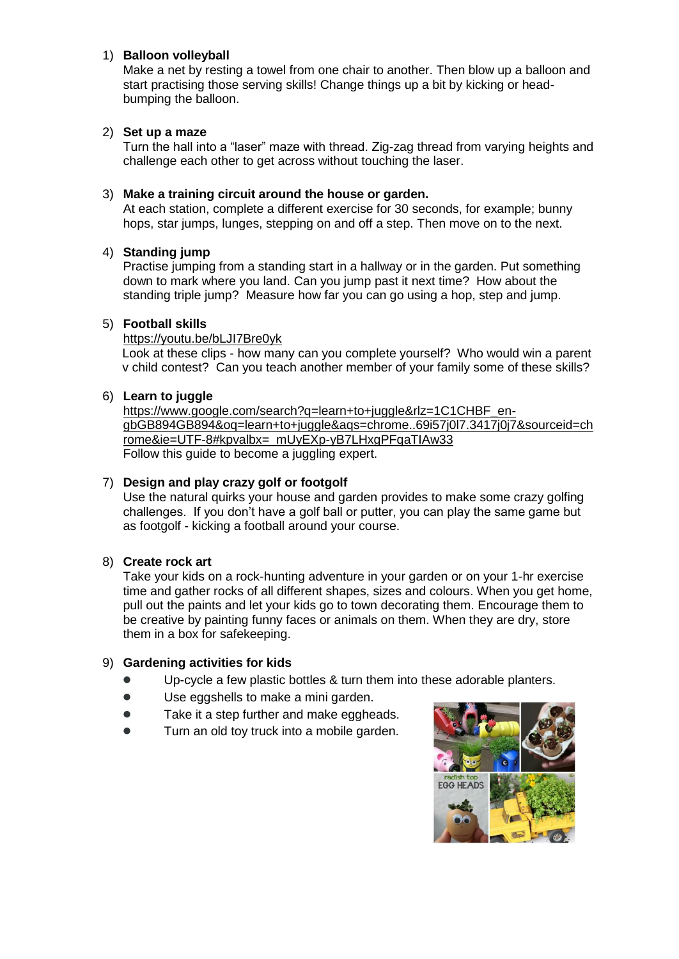## 1) **Balloon volleyball**

Make a net by resting a towel from one chair to another. Then blow up a balloon and start practising those serving skills! Change things up a bit by kicking or headbumping the balloon.

## 2) **Set up a maze**

Turn the hall into a "laser" maze with thread. Zig-zag thread from varying heights and challenge each other to get across without touching the laser.

#### 3) **Make a training circuit around the house or garden.**

At each station, complete a different exercise for 30 seconds, for example; bunny hops, star jumps, lunges, stepping on and off a step. Then move on to the next.

## 4) **Standing jump**

Practise jumping from a standing start in a hallway or in the garden. Put something down to mark where you land. Can you jump past it next time? How about the standing triple jump? Measure how far you can go using a hop, step and jump.

## 5) **Football skills**

<https://youtu.be/bLJI7Bre0yk>

Look at these clips - how many can you complete yourself? Who would win a parent v child contest? Can you teach another member of your family some of these skills?

#### 6) **Learn to juggle**

https://www.google.com/search?g=learn+to+juggle&rlz=1C1CHBF\_en[gbGB894GB894&oq=learn+to+juggle&aqs=chrome..69i57j0l7.3417j0j7&sourceid=ch](https://www.google.com/search?q=learn+to+juggle&rlz=1C1CHBF_en-gbGB894GB894&oq=learn+to+juggle&aqs=chrome..69i57j0l7.3417j0j7&sourceid=chrome&ie=UTF-8#kpvalbx=_mUyEXp-yB7LHxgPFqaTIAw33) [rome&ie=UTF-8#kpvalbx=\\_mUyEXp-yB7LHxgPFqaTIAw33](https://www.google.com/search?q=learn+to+juggle&rlz=1C1CHBF_en-gbGB894GB894&oq=learn+to+juggle&aqs=chrome..69i57j0l7.3417j0j7&sourceid=chrome&ie=UTF-8#kpvalbx=_mUyEXp-yB7LHxgPFqaTIAw33) Follow this guide to become a juggling expert.

## 7) **Design and play crazy golf or footgolf**

Use the natural quirks your house and garden provides to make some crazy golfing challenges. If you don't have a golf ball or putter, you can play the same game but as footgolf - kicking a football around your course.

## 8) **Create rock art**

Take your kids on a rock-hunting adventure in your garden or on your 1-hr exercise time and gather rocks of all different shapes, sizes and colours. When you get home, pull out the paints and let your kids go to town decorating them. Encourage them to be creative by painting funny faces or animals on them. When they are dry, store them in a box for safekeeping.

#### 9) **Gardening activities for kids**

- Up-cycle a few plastic bottles & turn them into [these adorable planters.](http://www.ehow.com/slideshow_12338177_upcycled-earth-day-planters-older-kids.html)
- Use eggshells to [make a mini garden.](http://www.naturallivingideas.com/eggshell-uses-in-the-garden/)
- Take it a step further and [make eggheads.](http://mamapapabubba.com/2013/04/24/radish-top-egg-heads/)
- Turn an old toy truck into [a mobile garden.](http://www.houseofhawthornes.com/Vintage-Toy-Truck-Planter/)

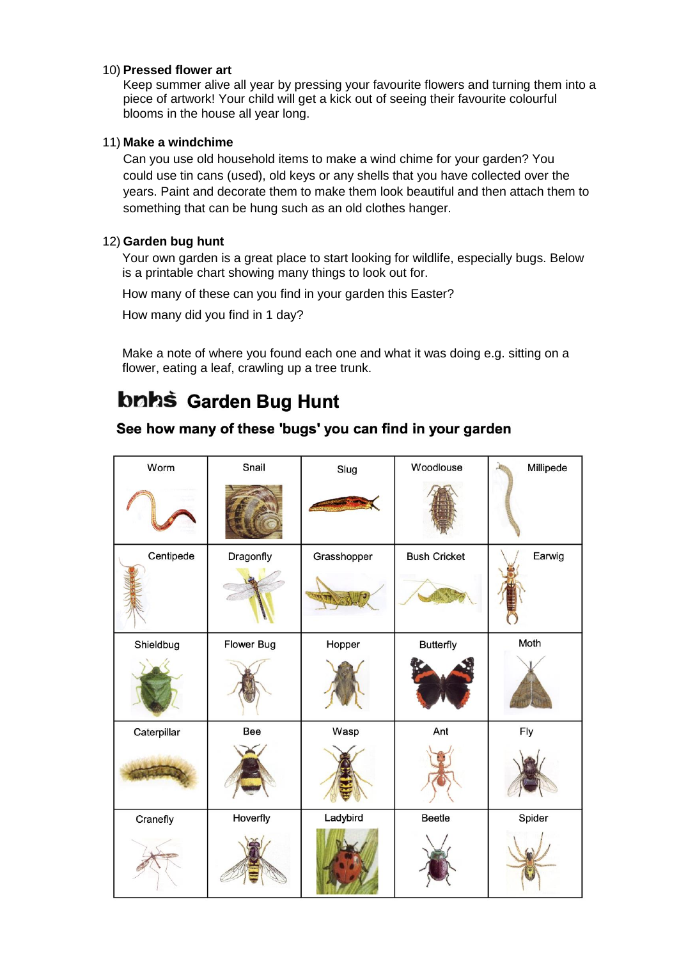#### 10) **Pressed flower art**

Keep summer alive all year by pressing your favourite flowers and turning them into a piece of artwork! Your child will get a kick out of seeing their favourite colourful blooms in the house all year long.

## 11) **Make a windchime**

Can you use old household items to make a wind chime for your garden? You could use tin cans (used), old keys or any shells that you have collected over the years. Paint and decorate them to make them look beautiful and then attach them to something that can be hung such as an old clothes hanger.

## 12) **Garden bug hunt**

Your own garden is a great place to start looking for wildlife, especially bugs. Below is a printable chart showing many things to look out for.

How many of these can you find in your garden this Easter?

How many did you find in 1 day?

Make a note of where you found each one and what it was doing e.g. sitting on a flower, eating a leaf, crawling up a tree trunk.

## bnhš Garden Bug Hunt

## See how many of these 'bugs' you can find in your garden

| Worm        | Snail      | Slug        | Woodlouse           | Millipede<br>m |
|-------------|------------|-------------|---------------------|----------------|
|             |            |             |                     |                |
| Centipede   | Dragonfly  | Grasshopper | <b>Bush Cricket</b> | Earwig         |
| Shieldbug   | Flower Bug | Hopper      | Butterfly           | Moth           |
|             |            |             |                     |                |
| Caterpillar | Bee        | Wasp        | Ant                 | Fly            |
|             |            |             |                     |                |
| Cranefly    | Hoverfly   | Ladybird    | Beetle              | Spider         |
|             |            |             |                     |                |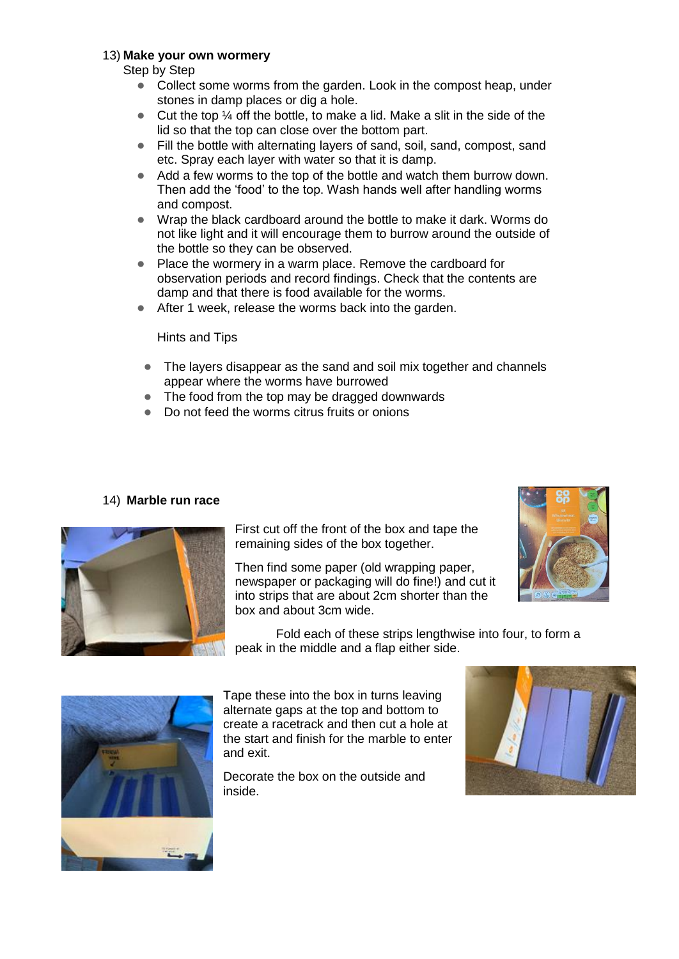## 13) **Make your own wormery**

Step by Step

- Collect some worms from the garden. Look in the compost heap, under stones in damp places or dig a hole.
- $\bullet$  Cut the top  $\frac{1}{4}$  off the bottle, to make a lid. Make a slit in the side of the lid so that the top can close over the bottom part.
- Fill the bottle with alternating layers of sand, soil, sand, compost, sand etc. Spray each layer with water so that it is damp.
- Add a few worms to the top of the bottle and watch them burrow down. Then add the 'food' to the top. Wash hands well after handling worms and compost.
- Wrap the black cardboard around the bottle to make it dark. Worms do not like light and it will encourage them to burrow around the outside of the bottle so they can be observed.
- Place the wormery in a warm place. Remove the cardboard for observation periods and record findings. Check that the contents are damp and that there is food available for the worms.
- After 1 week, release the worms back into the garden.

#### Hints and Tips

- The layers disappear as the sand and soil mix together and channels appear where the worms have burrowed
- The food from the top may be dragged downwards
- Do not feed the worms citrus fruits or onions

## 14) **Marble run race**



First cut off the front of the box and tape the remaining sides of the box together.

Then find some paper (old wrapping paper, newspaper or packaging will do fine!) and cut it into strips that are about 2cm shorter than the box and about 3cm wide.



Fold each of these strips lengthwise into four, to form a peak in the middle and a flap either side.



Tape these into the box in turns leaving alternate gaps at the top and bottom to create a racetrack and then cut a hole at the start and finish for the marble to enter and exit.

Decorate the box on the outside and inside.

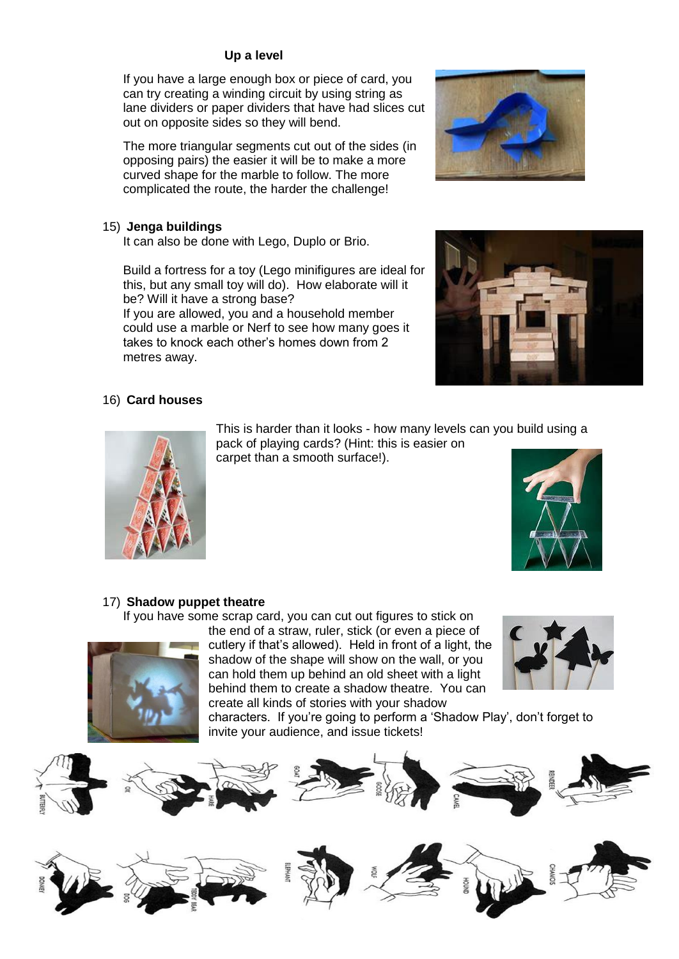## **Up a level**

If you have a large enough box or piece of card, you can try creating a winding circuit by using string as lane dividers or paper dividers that have had slices cut out on opposite sides so they will bend.

The more triangular segments cut out of the sides (in opposing pairs) the easier it will be to make a more curved shape for the marble to follow. The more complicated the route, the harder the challenge!

## 15) **Jenga buildings**

It can also be done with Lego, Duplo or Brio.

Build a fortress for a toy (Lego minifigures are ideal for this, but any small toy will do). How elaborate will it be? Will it have a strong base?

If you are allowed, you and a household member could use a marble or Nerf to see how many goes it takes to knock each other's homes down from 2 metres away.

## 16) **Card houses**

This is harder than it looks - how many levels can you build using a

pack of playing cards? (Hint: this is easier on carpet than a smooth surface!).



## 17) **Shadow puppet theatre**

If you have some scrap card, you can cut out figures to stick on



the end of a straw, ruler, stick (or even a piece of cutlery if that's allowed). Held in front of a light, the shadow of the shape will show on the wall, or you can hold them up behind an old sheet with a light behind them to create a shadow theatre. You can create all kinds of stories with your shadow



characters. If you're going to perform a 'Shadow Play', don't forget to invite your audience, and issue tickets!









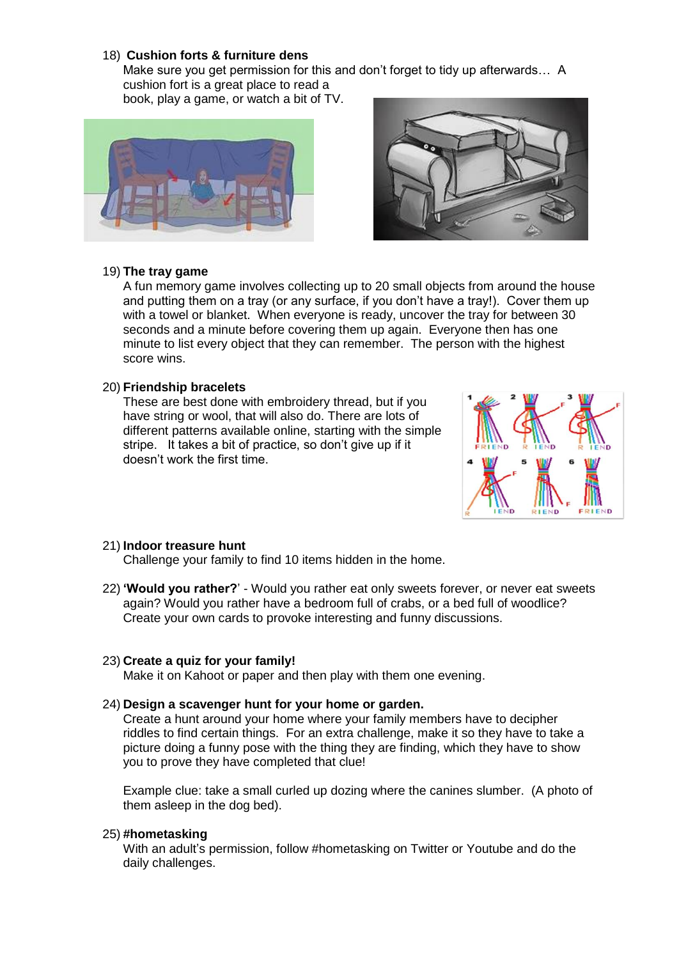#### 18) **Cushion forts & furniture dens**

Make sure you get permission for this and don't forget to tidy up afterwards… A cushion fort is a great place to read a book, play a game, or watch a bit of TV.





#### 19) **The tray game**

A fun memory game involves collecting up to 20 small objects from around the house and putting them on a tray (or any surface, if you don't have a tray!). Cover them up with a towel or blanket. When everyone is ready, uncover the tray for between 30 seconds and a minute before covering them up again. Everyone then has one minute to list every object that they can remember. The person with the highest score wins.

#### 20) **Friendship bracelets**

These are best done with embroidery thread, but if you have string or wool, that will also do. There are lots of different patterns available online, starting with the simple stripe. It takes a bit of practice, so don't give up if it doesn't work the first time.



#### 21) **Indoor treasure hunt**

Challenge your family to find 10 items hidden in the home.

22) **'Would you rather?**' - Would you rather eat only sweets forever, or never eat sweets again? Would you rather have a bedroom full of crabs, or a bed full of woodlice? Create your own cards to provoke interesting and funny discussions.

#### 23) **Create a quiz for your family!**

Make it on Kahoot or paper and then play with them one evening.

#### 24) **Design a scavenger hunt for your home or garden.**

Create a hunt around your home where your family members have to decipher riddles to find certain things. For an extra challenge, make it so they have to take a picture doing a funny pose with the thing they are finding, which they have to show you to prove they have completed that clue!

Example clue: take a small curled up dozing where the canines slumber. (A photo of them asleep in the dog bed).

#### 25) **#hometasking**

With an adult's permission, follow #hometasking on Twitter or Youtube and do the daily challenges.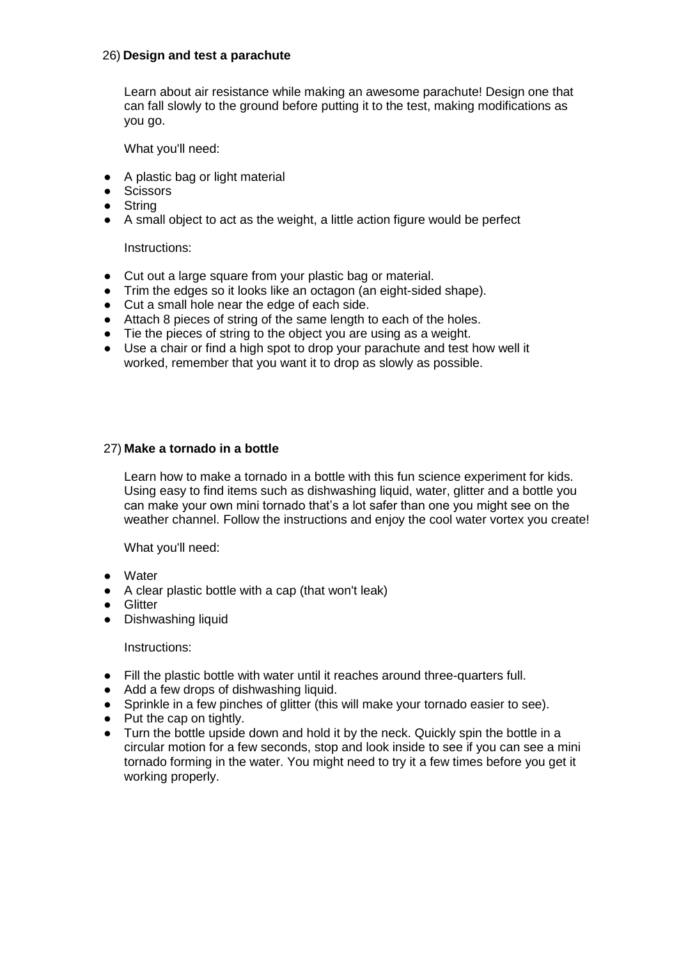## 26) **Design and test a parachute**

Learn about air resistance while making an awesome parachute! Design one that can fall slowly to the ground before putting it to the test, making modifications as you go.

What you'll need:

- A plastic bag or light material
- Scissors
- String
- A small object to act as the weight, a little action figure would be perfect

Instructions:

- Cut out a large square from your plastic bag or material.
- Trim the edges so it looks like an octagon (an eight-sided shape).
- Cut a small hole near the edge of each side.
- Attach 8 pieces of string of the same length to each of the holes.
- Tie the pieces of string to the object you are using as a weight.
- Use a chair or find a high spot to drop your parachute and test how well it worked, remember that you want it to drop as slowly as possible.

#### 27) **Make a tornado in a bottle**

Learn how to make a tornado in a bottle with this fun science experiment for kids. Using easy to find items such as dishwashing liquid, water, glitter and a bottle you can make your own mini tornado that's a lot safer than one you might see on the weather channel. Follow the instructions and enjoy the cool water vortex you create!

What you'll need:

- Water
- A clear plastic bottle with a cap (that won't leak)
- Glitter
- Dishwashing liquid

Instructions:

- Fill the plastic bottle with water until it reaches around three-quarters full.
- Add a few drops of dishwashing liquid.
- Sprinkle in a few pinches of glitter (this will make your tornado easier to see).
- Put the cap on tightly.
- Turn the bottle upside down and hold it by the neck. Quickly spin the bottle in a circular motion for a few seconds, stop and look inside to see if you can see a mini tornado forming in the water. You might need to try it a few times before you get it working properly.